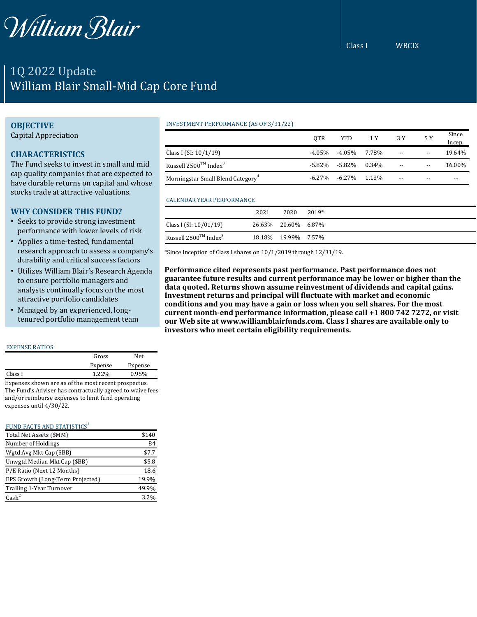

# 1Q 2022 Update William Blair Small-Mid Cap Core Fund

## **OBJECTIVE**

Capital Appreciation

# **CHARACTERISTICS**

The Fund seeks to invest in small and mid cap quality companies that are expected to have durable returns on capital and whose stocks trade at attractive valuations.

# **WHY CONSIDER THIS FUND?**

- Seeks to provide strong investment performance with lower levels of risk
- Applies a time-tested, fundamental research approach to assess a company's durability and critical success factors
- Utilizes William Blair's Research Agenda to ensure portfolio managers and analysts continually focus on the most attractive portfolio candidates
- Managed by an experienced, longtenured portfolio management team

#### EXPENSE RATIOS

|                          |                      | Gross   | Net     |
|--------------------------|----------------------|---------|---------|
|                          |                      | Expense | Expense |
| Class I                  |                      | 1.22%   | 0.95%   |
| $\overline{\phantom{a}}$ | $\sim$ $\sim$ $\sim$ |         |         |

Expenses shown are as of the most recent prospectus. The Fund's Adviser has contractually agreed to waive fees and/or reimburse expenses to limit fund operating expenses until 4/30/22.

#### FUND FACTS AND STATISTICS $1$

| Total Net Assets (\$MM)          | \$140 |
|----------------------------------|-------|
| Number of Holdings               | 84    |
| Wgtd Avg Mkt Cap (\$BB)          | \$7.7 |
| Unwgtd Median Mkt Cap (\$BB)     | \$5.8 |
| P/E Ratio (Next 12 Months)       | 18.6  |
| EPS Growth (Long-Term Projected) | 19.9% |
| Trailing 1-Year Turnover         | 49.9% |
| $\text{Cash}^2$                  | 3.2%  |

## INVESTMENT PERFORMANCE (AS OF 3/31/22)

|                                               | 0TR       | YTD                       | 1 Y 3 Y |               | 5 Y                      | Since<br>Incep. |
|-----------------------------------------------|-----------|---------------------------|---------|---------------|--------------------------|-----------------|
| Class I (SI: $10/1/19$ )                      | -4.05%    | -4.05% 7.78%              |         | $\sim$ $\sim$ | $\overline{\phantom{m}}$ | 19.64%          |
| Russell $2500^{TM}$ Index <sup>3</sup>        |           | $-5.82\% -5.82\% -0.34\%$ |         | $- -$         | $- -$                    | 16.00%          |
| Morningstar Small Blend Category <sup>4</sup> | $-6.27\%$ | $-6.27\%$ 1.13%           |         | $-$           | $- -$                    | --              |

#### CALENDAR YEAR PERFORMANCE

|                                        | 2021 | 2020                | 2019* |
|----------------------------------------|------|---------------------|-------|
| Class I (SI: $10/01/19$ )              |      | 26.63% 20.60% 6.87% |       |
| Russell $2500^{TM}$ Index <sup>3</sup> |      | 18.18% 19.99% 7.57% |       |

\*Since Inception of Class I shares on 10/1/2019 through 12/31/19.

**Performance cited represents past performance. Past performance does not guarantee future results and current performance may be lower or higher than the data quoted. Returns shown assume reinvestment of dividends and capital gains. Investment returns and principal will fluctuate with market and economic conditions and you may have a gain or loss when you sell shares. For the most current month-end performance information, please call +1 800 742 7272, or visit our Web site at www.williamblairfunds.com. Class I shares are available only to investors who meet certain eligibility requirements.**

## Class I WBCIX